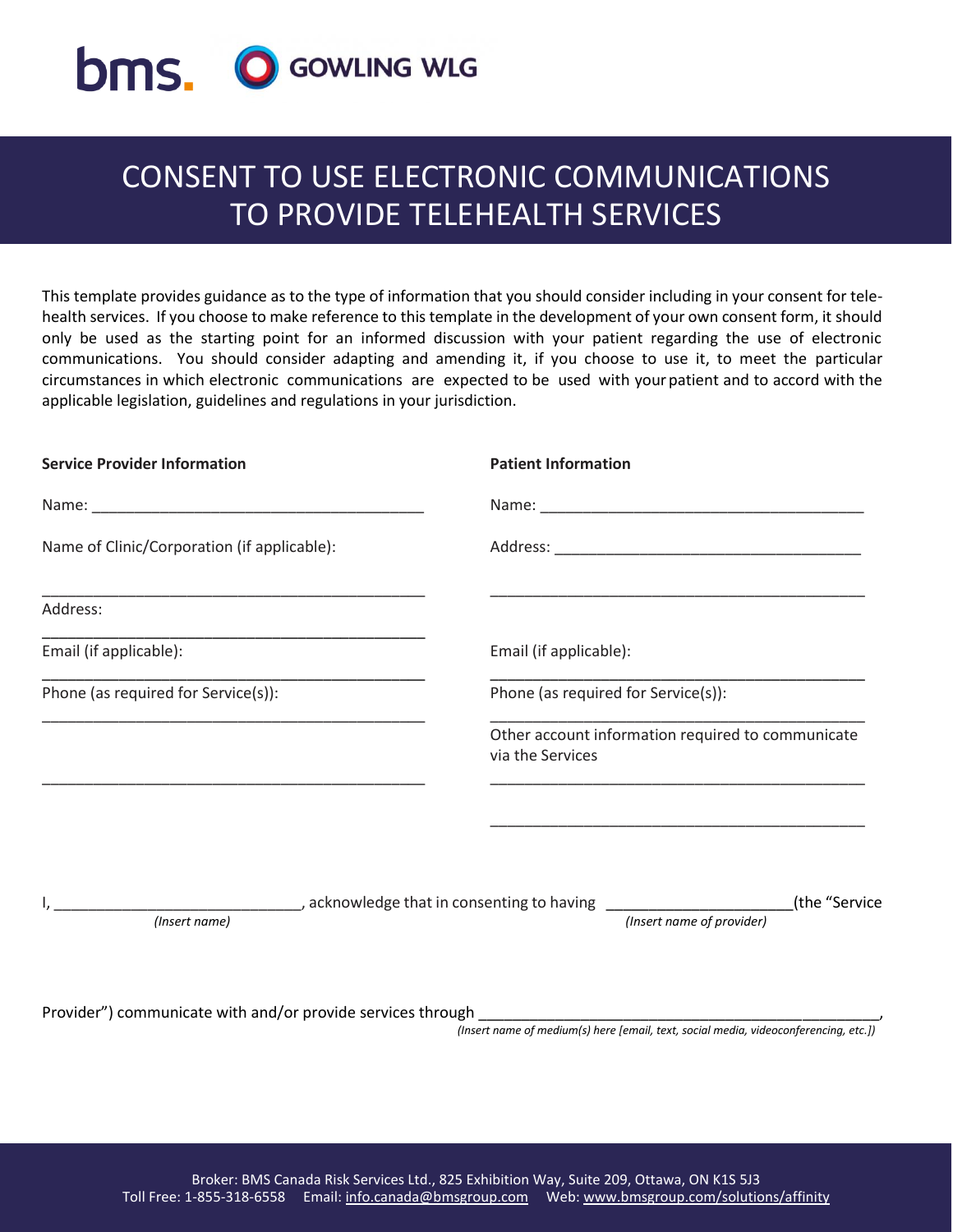

# CONSENT TO USE ELECTRONIC COMMUNICATIONS TO PROVIDE TELEHEALTH SERVICES

This template provides guidance as to the type of information that you should consider including in your consent for telehealth services. If you choose to make reference to this template in the development of your own consent form, it should only be used as the starting point for an informed discussion with your patient regarding the use of electronic communications. You should consider adapting and amending it, if you choose to use it, to meet the particular circumstances in which electronic communications are expected to be used with yourpatient and to accord with the applicable legislation, guidelines and regulations in your jurisdiction.

| <b>Service Provider Information</b>         | <b>Patient Information</b>                                                                                           |
|---------------------------------------------|----------------------------------------------------------------------------------------------------------------------|
|                                             |                                                                                                                      |
| Name of Clinic/Corporation (if applicable): |                                                                                                                      |
| Address:                                    | <u> 1990 - Jan James James James James James James James James James James James James James James James James J</u> |
| Email (if applicable):                      | Email (if applicable):                                                                                               |
| Phone (as required for Service(s)):         | Phone (as required for Service(s)):                                                                                  |
|                                             | Other account information required to communicate<br>via the Services                                                |
|                                             |                                                                                                                      |
| (Insert name)                               | (the "Service<br>(Insert name of provider)                                                                           |
|                                             | (Insert name of medium(s) here [email, text, social media, videoconferencing, etc.])                                 |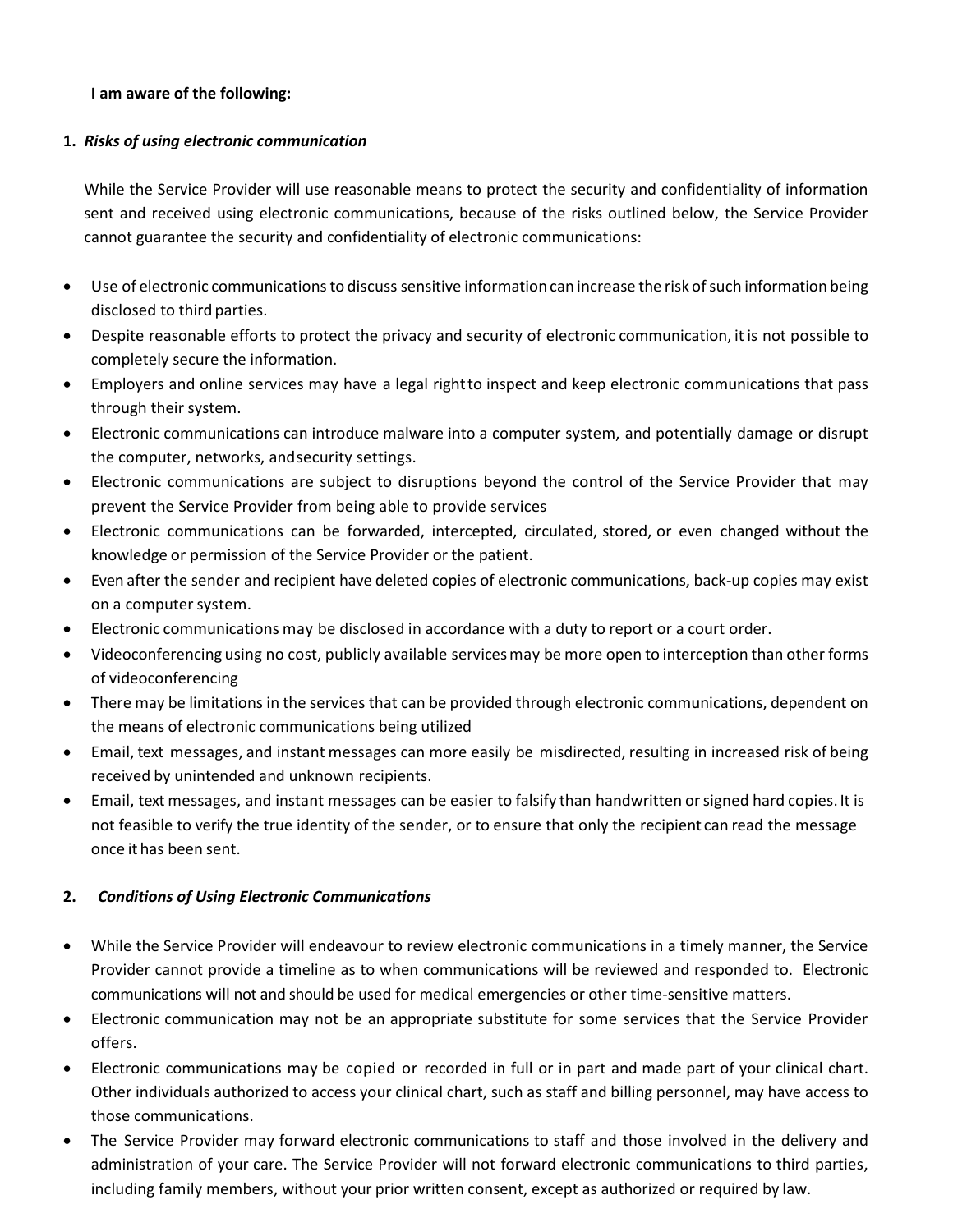### **I am aware of the following:**

### **1.** *Risks of using electronic communication*

While the Service Provider will use reasonable means to protect the security and confidentiality of information sent and received using electronic communications, because of the risks outlined below, the Service Provider cannot guarantee the security and confidentiality of electronic communications:

- Use of electronic communications to discuss sensitive information can increase the risk ofsuch information being disclosed to third parties.
- Despite reasonable efforts to protect the privacy and security of electronic communication, itis not possible to completely secure the information.
- Employers and online services may have a legal rightto inspect and keep electronic communications that pass through their system.
- Electronic communications can introduce malware into a computer system, and potentially damage or disrupt the computer, networks, andsecurity settings.
- Electronic communications are subject to disruptions beyond the control of the Service Provider that may prevent the Service Provider from being able to provide services
- Electronic communications can be forwarded, intercepted, circulated, stored, or even changed without the knowledge or permission of the Service Provider or the patient.
- Even after the sender and recipient have deleted copies of electronic communications, back-up copies may exist on a computer system.
- Electronic communications may be disclosed in accordance with a duty to report or a court order.
- Videoconferencing using no cost, publicly available servicesmay be more open to interception than other forms of videoconferencing
- There may be limitations in the services that can be provided through electronic communications, dependent on the means of electronic communications being utilized
- Email, text messages, and instant messages can more easily be misdirected, resulting in increased risk of being received by unintended and unknown recipients.
- Email, text messages, and instant messages can be easier to falsify than handwritten orsigned hard copies. It is not feasible to verify the true identity of the sender, or to ensure that only the recipient can read the message once it has been sent.

## **2.** *Conditions of Using Electronic Communications*

- While the Service Provider will endeavour to review electronic communications in a timely manner, the Service Provider cannot provide a timeline as to when communications will be reviewed and responded to. Electronic communications will not and should be used for medical emergencies or other time-sensitive matters.
- Electronic communication may not be an appropriate substitute for some services that the Service Provider offers.
- Electronic communications may be copied or recorded in full or in part and made part of your clinical chart. Other individuals authorized to access your clinical chart, such as staff and billing personnel, may have access to those communications.
- The Service Provider may forward electronic communications to staff and those involved in the delivery and administration of your care. The Service Provider will not forward electronic communications to third parties, including family members, without your prior written consent, except as authorized or required by law.